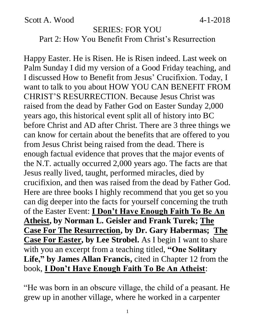Scott A. Wood  $4-1-2018$ 

#### SERIES: FOR YOU Part 2: How You Benefit From Christ's Resurrection

Happy Easter. He is Risen. He is Risen indeed. Last week on Palm Sunday I did my version of a Good Friday teaching, and I discussed How to Benefit from Jesus' Crucifixion. Today, I want to talk to you about HOW YOU CAN BENEFIT FROM CHRIST'S RESURRECTION. Because Jesus Christ was raised from the dead by Father God on Easter Sunday 2,000 years ago, this historical event split all of history into BC before Christ and AD after Christ. There are 3 three things we can know for certain about the benefits that are offered to you from Jesus Christ being raised from the dead. There is enough factual evidence that proves that the major events of the N.T. actually occurred 2,000 years ago. The facts are that Jesus really lived, taught, performed miracles, died by crucifixion, and then was raised from the dead by Father God. Here are three books I highly recommend that you get so you can dig deeper into the facts for yourself concerning the truth of the Easter Event: **I Don't Have Enough Faith To Be An Atheist, by Norman L. Geisler and Frank Turek; The Case For The Resurrection, by Dr. Gary Habermas; The Case For Easter, by Lee Strobel.** As I begin I want to share with you an excerpt from a teaching titled, **"One Solitary Life," by James Allan Francis,** cited in Chapter 12 from the book, **I Don't Have Enough Faith To Be An Atheist**:

"He was born in an obscure village, the child of a peasant. He grew up in another village, where he worked in a carpenter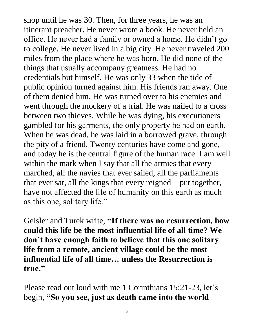shop until he was 30. Then, for three years, he was an itinerant preacher. He never wrote a book. He never held an office. He never had a family or owned a home. He didn't go to college. He never lived in a big city. He never traveled 200 miles from the place where he was born. He did none of the things that usually accompany greatness. He had no credentials but himself. He was only 33 when the tide of public opinion turned against him. His friends ran away. One of them denied him. He was turned over to his enemies and went through the mockery of a trial. He was nailed to a cross between two thieves. While he was dying, his executioners gambled for his garments, the only property he had on earth. When he was dead, he was laid in a borrowed grave, through the pity of a friend. Twenty centuries have come and gone, and today he is the central figure of the human race. I am well within the mark when I say that all the armies that every marched, all the navies that ever sailed, all the parliaments that ever sat, all the kings that every reigned—put together, have not affected the life of humanity on this earth as much as this one, solitary life."

Geisler and Turek write, **"If there was no resurrection, how could this life be the most influential life of all time? We don't have enough faith to believe that this one solitary life from a remote, ancient village could be the most influential life of all time… unless the Resurrection is true."**

Please read out loud with me 1 Corinthians 15:21-23, let's begin, **"So you see, just as death came into the world**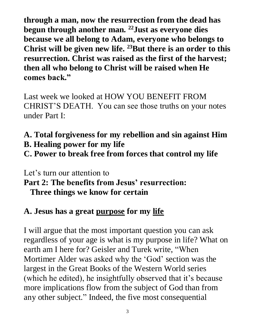**through a man, now the resurrection from the dead has begun through another man. <sup>22</sup>Just as everyone dies because we all belong to Adam, everyone who belongs to Christ will be given new life. <sup>23</sup>But there is an order to this resurrection. Christ was raised as the first of the harvest; then all who belong to Christ will be raised when He comes back."** 

Last week we looked at HOW YOU BENEFIT FROM CHRIST'S DEATH. You can see those truths on your notes under Part I:

## **A. Total forgiveness for my rebellion and sin against Him B. Healing power for my life**

**C. Power to break free from forces that control my life**

Let's turn our attention to **Part 2: The benefits from Jesus' resurrection: Three things we know for certain**

# **A. Jesus has a great purpose for my life**

I will argue that the most important question you can ask regardless of your age is what is my purpose in life? What on earth am I here for? Geisler and Turek write, "When Mortimer Alder was asked why the 'God' section was the largest in the Great Books of the Western World series (which he edited), he insightfully observed that it's because more implications flow from the subject of God than from any other subject." Indeed, the five most consequential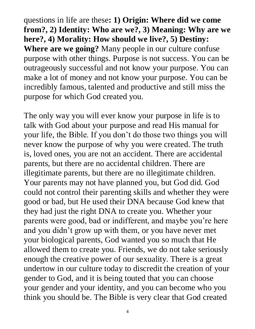questions in life are these**: 1) Origin: Where did we come from?, 2) Identity: Who are we?, 3) Meaning: Why are we here?, 4) Morality: How should we live?, 5) Destiny: Where are we going?** Many people in our culture confuse purpose with other things. Purpose is not success. You can be outrageously successful and not know your purpose. You can make a lot of money and not know your purpose. You can be incredibly famous, talented and productive and still miss the purpose for which God created you.

The only way you will ever know your purpose in life is to talk with God about your purpose and read His manual for your life, the Bible. If you don't do those two things you will never know the purpose of why you were created. The truth is, loved ones, you are not an accident. There are accidental parents, but there are no accidental children. There are illegitimate parents, but there are no illegitimate children. Your parents may not have planned you, but God did. God could not control their parenting skills and whether they were good or bad, but He used their DNA because God knew that they had just the right DNA to create you. Whether your parents were good, bad or indifferent, and maybe you're here and you didn't grow up with them, or you have never met your biological parents, God wanted you so much that He allowed them to create you. Friends, we do not take seriously enough the creative power of our sexuality. There is a great undertow in our culture today to discredit the creation of your gender to God, and it is being touted that you can choose your gender and your identity, and you can become who you think you should be. The Bible is very clear that God created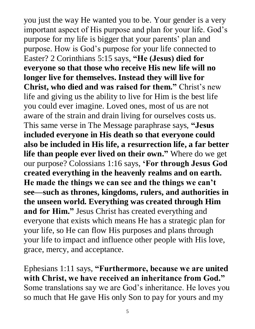you just the way He wanted you to be. Your gender is a very important aspect of His purpose and plan for your life. God's purpose for my life is bigger that your parents' plan and purpose. How is God's purpose for your life connected to Easter? 2 Corinthians 5:15 says, **"He (Jesus) died for everyone so that those who receive His new life will no longer live for themselves. Instead they will live for Christ, who died and was raised for them."** Christ's new life and giving us the ability to live for Him is the best life you could ever imagine. Loved ones, most of us are not aware of the strain and drain living for ourselves costs us. This same verse in The Message paraphrase says, **"Jesus included everyone in His death so that everyone could also be included in His life, a resurrection life, a far better life than people ever lived on their own."** Where do we get our purpose? Colossians 1:16 says, **'For through Jesus God created everything in the heavenly realms and on earth. He made the things we can see and the things we can't see—such as thrones, kingdoms, rulers, and authorities in the unseen world. Everything was created through Him and for Him."** Jesus Christ has created everything and everyone that exists which means He has a strategic plan for your life, so He can flow His purposes and plans through your life to impact and influence other people with His love, grace, mercy, and acceptance.

Ephesians 1:11 says, **"Furthermore, because we are united with Christ, we have received an inheritance from God."**  Some translations say we are God's inheritance. He loves you so much that He gave His only Son to pay for yours and my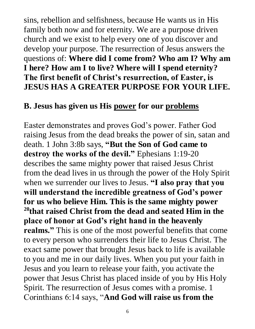sins, rebellion and selfishness, because He wants us in His family both now and for eternity. We are a purpose driven church and we exist to help every one of you discover and develop your purpose. The resurrection of Jesus answers the questions of: **Where did I come from? Who am I? Why am I here? How am I to live? Where will I spend eternity? The first benefit of Christ's resurrection, of Easter, is JESUS HAS A GREATER PURPOSE FOR YOUR LIFE.**

#### **B. Jesus has given us His power for our problems**

Easter demonstrates and proves God's power. Father God raising Jesus from the dead breaks the power of sin, satan and death. 1 John 3:8b says, **"But the Son of God came to destroy the works of the devil."** Ephesians 1:19-20 describes the same mighty power that raised Jesus Christ from the dead lives in us through the power of the Holy Spirit when we surrender our lives to Jesus. **"I also pray that you will understand the incredible greatness of God's power for us who believe Him. This is the same mighty power <sup>20</sup>that raised Christ from the dead and seated Him in the place of honor at God's right hand in the heavenly realms."** This is one of the most powerful benefits that come to every person who surrenders their life to Jesus Christ. The exact same power that brought Jesus back to life is available to you and me in our daily lives. When you put your faith in Jesus and you learn to release your faith, you activate the power that Jesus Christ has placed inside of you by His Holy Spirit. The resurrection of Jesus comes with a promise. 1 Corinthians 6:14 says, "**And God will raise us from the**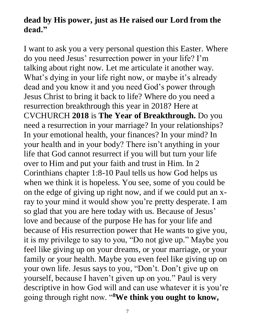### **dead by His power, just as He raised our Lord from the dead."**

I want to ask you a very personal question this Easter. Where do you need Jesus' resurrection power in your life? I'm talking about right now. Let me articulate it another way. What's dying in your life right now, or maybe it's already dead and you know it and you need God's power through Jesus Christ to bring it back to life? Where do you need a resurrection breakthrough this year in 2018? Here at CVCHURCH **2018** is **The Year of Breakthrough.** Do you need a resurrection in your marriage? In your relationships? In your emotional health, your finances? In your mind? In your health and in your body? There isn't anything in your life that God cannot resurrect if you will but turn your life over to Him and put your faith and trust in Him. In 2 Corinthians chapter 1:8-10 Paul tells us how God helps us when we think it is hopeless. You see, some of you could be on the edge of giving up right now, and if we could put an xray to your mind it would show you're pretty desperate. I am so glad that you are here today with us. Because of Jesus' love and because of the purpose He has for your life and because of His resurrection power that He wants to give you, it is my privilege to say to you, "Do not give up." Maybe you feel like giving up on your dreams, or your marriage, or your family or your health. Maybe you even feel like giving up on your own life. Jesus says to you, "Don't. Don't give up on yourself, because I haven't given up on you." Paul is very descriptive in how God will and can use whatever it is you're going through right now. "**8We think you ought to know,**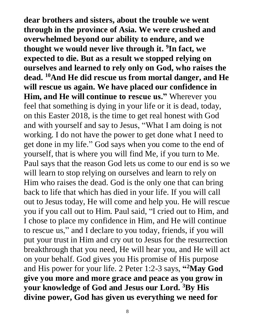**dear brothers and sisters, about the trouble we went through in the province of Asia. We were crushed and overwhelmed beyond our ability to endure, and we thought we would never live through it. <sup>9</sup> In fact, we expected to die. But as a result we stopped relying on ourselves and learned to rely only on God, who raises the dead. <sup>10</sup>And He did rescue us from mortal danger, and He will rescue us again. We have placed our confidence in Him, and He will continue to rescue us."** Wherever you feel that something is dying in your life or it is dead, today, on this Easter 2018, is the time to get real honest with God and with yourself and say to Jesus, "What I am doing is not working. I do not have the power to get done what I need to get done in my life." God says when you come to the end of yourself, that is where you will find Me, if you turn to Me. Paul says that the reason God lets us come to our end is so we will learn to stop relying on ourselves and learn to rely on Him who raises the dead. God is the only one that can bring back to life that which has died in your life. If you will call out to Jesus today, He will come and help you. He will rescue you if you call out to Him. Paul said, "I cried out to Him, and I chose to place my confidence in Him, and He will continue to rescue us," and I declare to you today, friends, if you will put your trust in Him and cry out to Jesus for the resurrection breakthrough that you need, He will hear you, and He will act on your behalf. God gives you His promise of His purpose and His power for your life. 2 Peter 1:2-3 says, "<sup>2</sup>May God **give you more and more grace and peace as you grow in your knowledge of God and Jesus our Lord. <sup>3</sup>By His divine power, God has given us everything we need for** 

8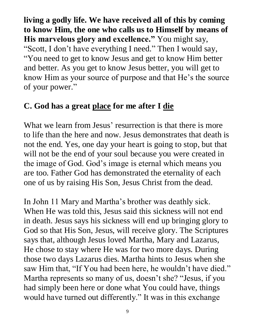**living a godly life. We have received all of this by coming to know Him, the one who calls us to Himself by means of His marvelous glory and excellence."** You might say, "Scott, I don't have everything I need." Then I would say, "You need to get to know Jesus and get to know Him better and better. As you get to know Jesus better, you will get to know Him as your source of purpose and that He's the source of your power."

### **C. God has a great place for me after I die**

What we learn from Jesus' resurrection is that there is more to life than the here and now. Jesus demonstrates that death is not the end. Yes, one day your heart is going to stop, but that will not be the end of your soul because you were created in the image of God. God's image is eternal which means you are too. Father God has demonstrated the eternality of each one of us by raising His Son, Jesus Christ from the dead.

In John 11 Mary and Martha's brother was deathly sick. When He was told this, Jesus said this sickness will not end in death. Jesus says his sickness will end up bringing glory to God so that His Son, Jesus, will receive glory. The Scriptures says that, although Jesus loved Martha, Mary and Lazarus, He chose to stay where He was for two more days. During those two days Lazarus dies. Martha hints to Jesus when she saw Him that, "If You had been here, he wouldn't have died." Martha represents so many of us, doesn't she? "Jesus, if you had simply been here or done what You could have, things would have turned out differently." It was in this exchange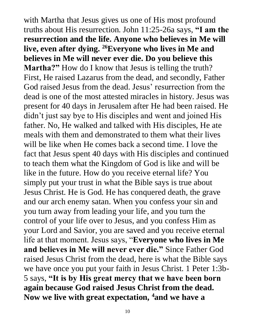with Martha that Jesus gives us one of His most profound truths about His resurrection. John 11:25-26a says, **"I am the resurrection and the life. Anyone who believes in Me will live, even after dying. <sup>26</sup>Everyone who lives in Me and believes in Me will never ever die. Do you believe this Martha?"** How do I know that Jesus is telling the truth? First, He raised Lazarus from the dead, and secondly, Father God raised Jesus from the dead. Jesus' resurrection from the dead is one of the most attested miracles in history. Jesus was present for 40 days in Jerusalem after He had been raised. He didn't just say bye to His disciples and went and joined His father. No, He walked and talked with His disciples, He ate meals with them and demonstrated to them what their lives will be like when He comes back a second time. I love the fact that Jesus spent 40 days with His disciples and continued to teach them what the Kingdom of God is like and will be like in the future. How do you receive eternal life? You simply put your trust in what the Bible says is true about Jesus Christ. He is God. He has conquered death, the grave and our arch enemy satan. When you confess your sin and you turn away from leading your life, and you turn the control of your life over to Jesus, and you confess Him as your Lord and Savior, you are saved and you receive eternal life at that moment. Jesus says, "**Everyone who lives in Me and believes in Me will never ever die."** Since Father God raised Jesus Christ from the dead, here is what the Bible says we have once you put your faith in Jesus Christ. 1 Peter 1:3b-5 says, **"It is by His great mercy that we have been born again because God raised Jesus Christ from the dead. Now we live with great expectation, 4and we have a**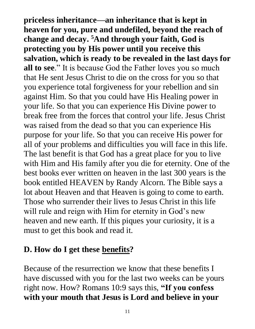**priceless inheritance—an inheritance that is kept in heaven for you, pure and undefiled, beyond the reach of change and decay. <sup>5</sup>And through your faith, God is protecting you by His power until you receive this salvation, which is ready to be revealed in the last days for all to see**." It is because God the Father loves you so much that He sent Jesus Christ to die on the cross for you so that you experience total forgiveness for your rebellion and sin against Him. So that you could have His Healing power in your life. So that you can experience His Divine power to break free from the forces that control your life. Jesus Christ was raised from the dead so that you can experience His purpose for your life. So that you can receive His power for all of your problems and difficulties you will face in this life. The last benefit is that God has a great place for you to live with Him and His family after you die for eternity. One of the best books ever written on heaven in the last 300 years is the book entitled HEAVEN by Randy Alcorn. The Bible says a lot about Heaven and that Heaven is going to come to earth. Those who surrender their lives to Jesus Christ in this life will rule and reign with Him for eternity in God's new heaven and new earth. If this piques your curiosity, it is a must to get this book and read it.

### **D. How do I get these benefits?**

Because of the resurrection we know that these benefits I have discussed with you for the last two weeks can be yours right now. How? Romans 10:9 says this, **"If you confess with your mouth that Jesus is Lord and believe in your**